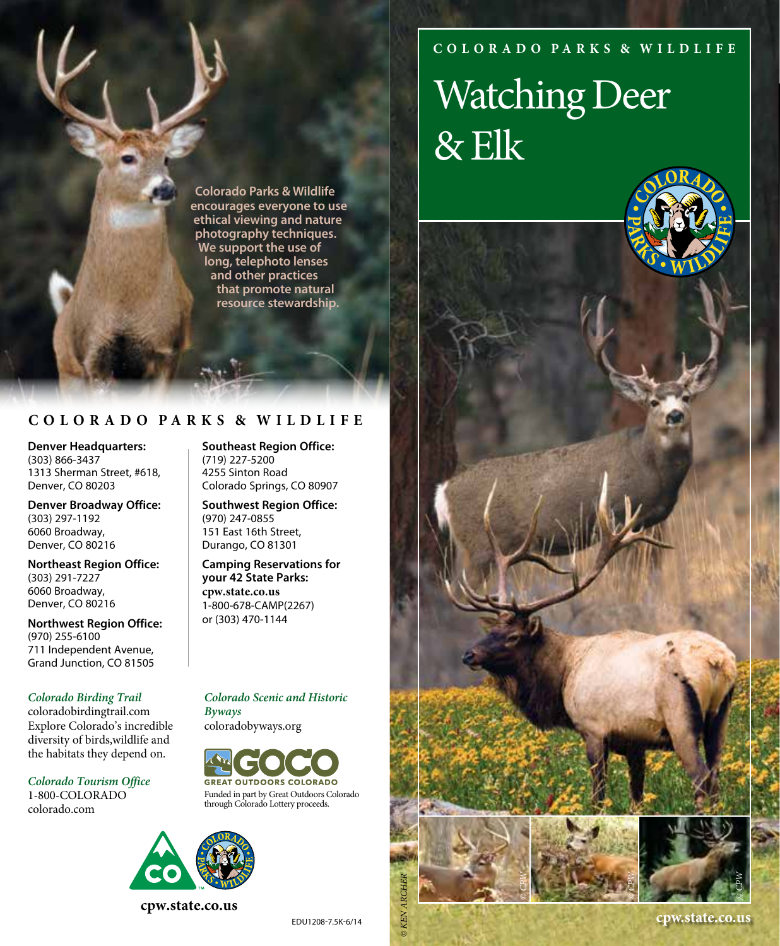### **C O L O R A D O PA R K S & W I L D L I F E**

# Watching Deer & Elk



#### **C O L O R A D O PA R K S & W I L D L I F E**

**Denver Headquarters:** (303) 866-3437 1313 Sherman Street, #618, Denver, CO 80203

**Denver Broadway Office:** (303) 297-1192 6060 Broadway, Denver, CO 80216

**Northeast Region Office:** (303) 291-7227 6060 Broadway, Denver, CO 80216

**Northwest Region Office:** (970) 255-6100 711 Independent Avenue, Grand Junction, CO 81505

*Colorado Birding Trail* coloradobirdingtrail.com Explore Colorado's incredible diversity of birds,wildlife and the habitats they depend on.

*Colorado Tourism Office* 1-800-COLORADO colorado.com

**Southeast Region Office:** (719) 227-5200 4255 Sinton Road Colorado Springs, CO 80907

**Southwest Region Office:** (970) 247-0855 151 East 16th Street, Durango, CO 81301

**Camping Reservations for your 42 State Parks: cpw.state.co.us** 1-800-678-CAMP(2267) or (303) 470-1144

*Colorado Scenic and Historic Byways* coloradobyways.org

**GREAT OUTDOORS COLORADO** Funded in part by Great Outdoors Colorado through Colorado Lottery proceeds.



**cpw.state.co.us** 

*© KEN ARCHER*

**KEN ARCH** 

*© CPW*

*© CPW*

*© CPW*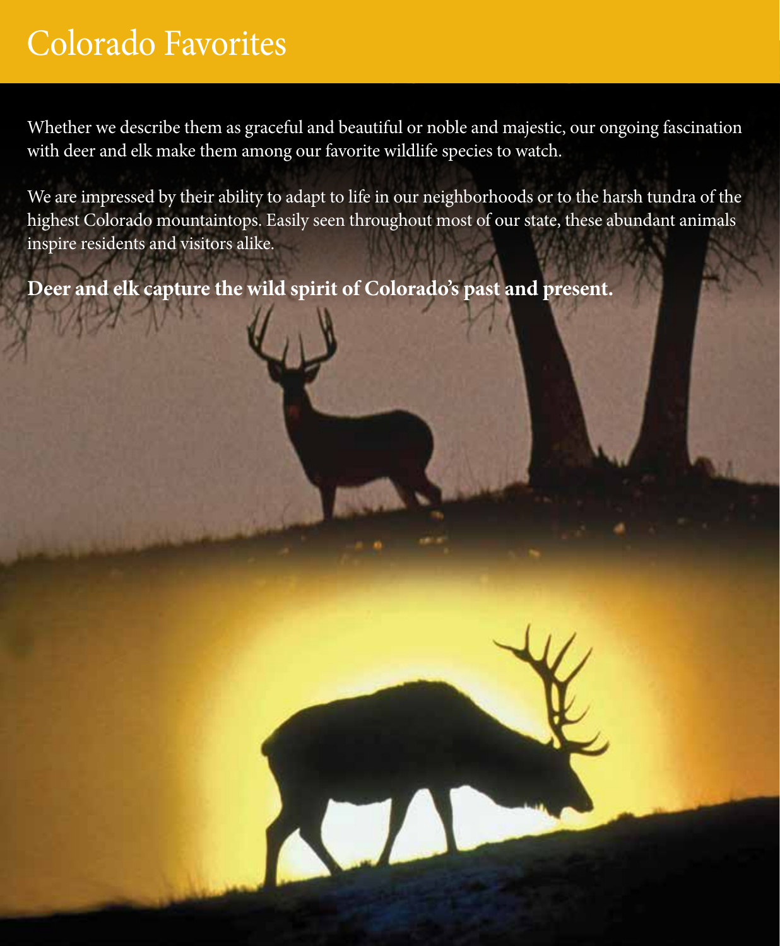# Colorado Favorites

Whether we describe them as graceful and beautiful or noble and majestic, our ongoing fascination with deer and elk make them among our favorite wildlife species to watch.

We are impressed by their ability to adapt to life in our neighborhoods or to the harsh tundra of the highest Colorado mountaintops. Easily seen throughout most of our state, these abundant animals inspire residents and visitors alike.

**Deer and elk capture the wild spirit of Colorado's past and present.**

**NOTE**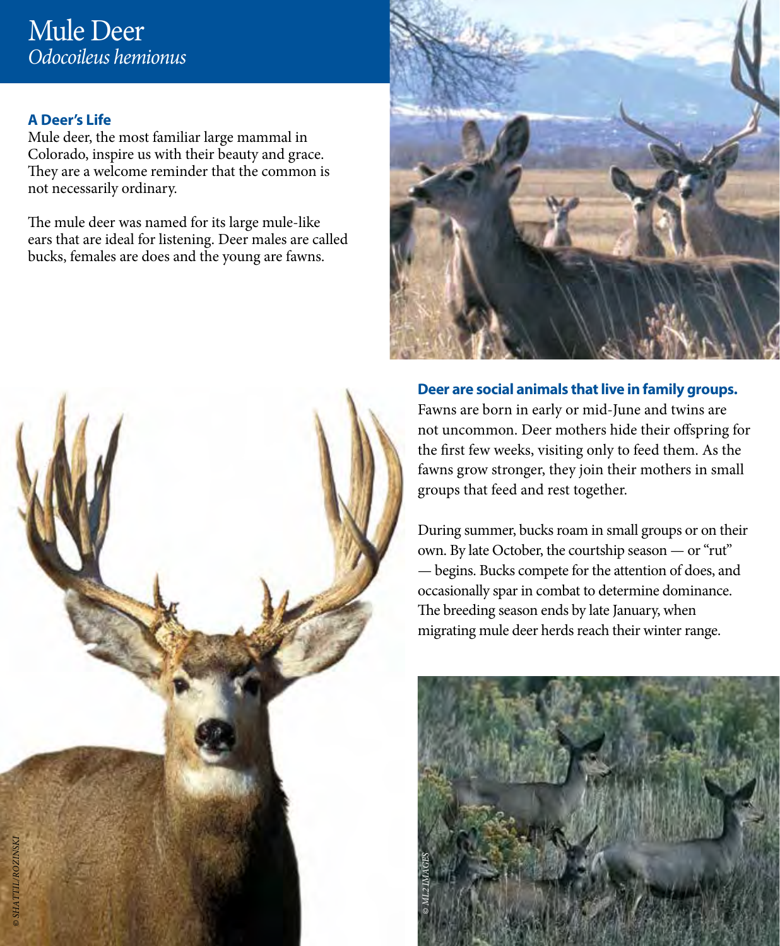#### **A Deer's Life**

Mule deer, the most familiar large mammal in Colorado, inspire us with their beauty and grace. They are a welcome reminder that the common is not necessarily ordinary.

The mule deer was named for its large mule-like ears that are ideal for listening. Deer males are called bucks, females are does and the young are fawns.



**Deer are social animals that live in family groups.** Fawns are born in early or mid-June and twins are not uncommon. Deer mothers hide their offspring for the first few weeks, visiting only to feed them. As the fawns grow stronger, they join their mothers in small groups that feed and rest together.

During summer, bucks roam in small groups or on their own. By late October, the courtship season — or "rut" — begins. Bucks compete for the attention of does, and occasionally spar in combat to determine dominance. The breeding season ends by late January, when migrating mule deer herds reach their winter range.



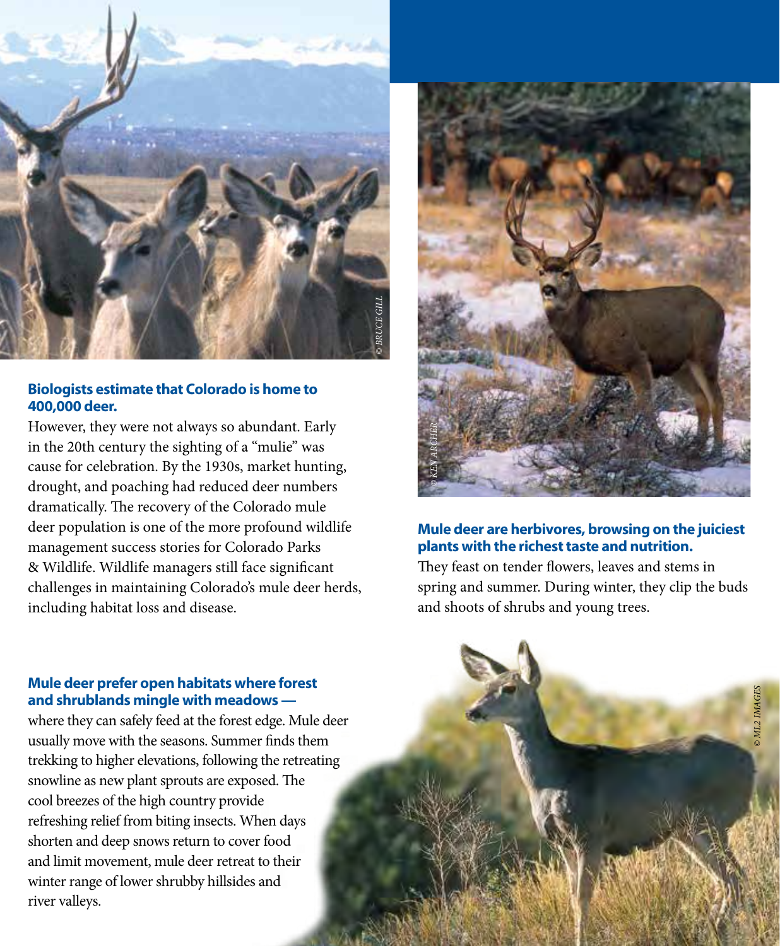

#### **Biologists estimate that Colorado is home to 400,000 deer.**

However, they were not always so abundant. Early in the 20th century the sighting of a "mulie" was cause for celebration. By the 1930s, market hunting, drought, and poaching had reduced deer numbers dramatically. The recovery of the Colorado mule deer population is one of the more profound wildlife management success stories for Colorado Parks & Wildlife. Wildlife managers still face significant challenges in maintaining Colorado's mule deer herds, including habitat loss and disease.



#### **Mule deer are herbivores, browsing on the juiciest plants with the richest taste and nutrition.**

They feast on tender flowers, leaves and stems in spring and summer. During winter, they clip the buds and shoots of shrubs and young trees.

#### **Mule deer prefer open habitats where forest and shrublands mingle with meadows —**

where they can safely feed at the forest edge. Mule deer usually move with the seasons. Summer finds them trekking to higher elevations, following the retreating snowline as new plant sprouts are exposed. The cool breezes of the high country provide refreshing relief from biting insects. When days shorten and deep snows return to cover food and limit movement, mule deer retreat to their winter range of lower shrubby hillsides and river valleys.

*© KEN ARCHER*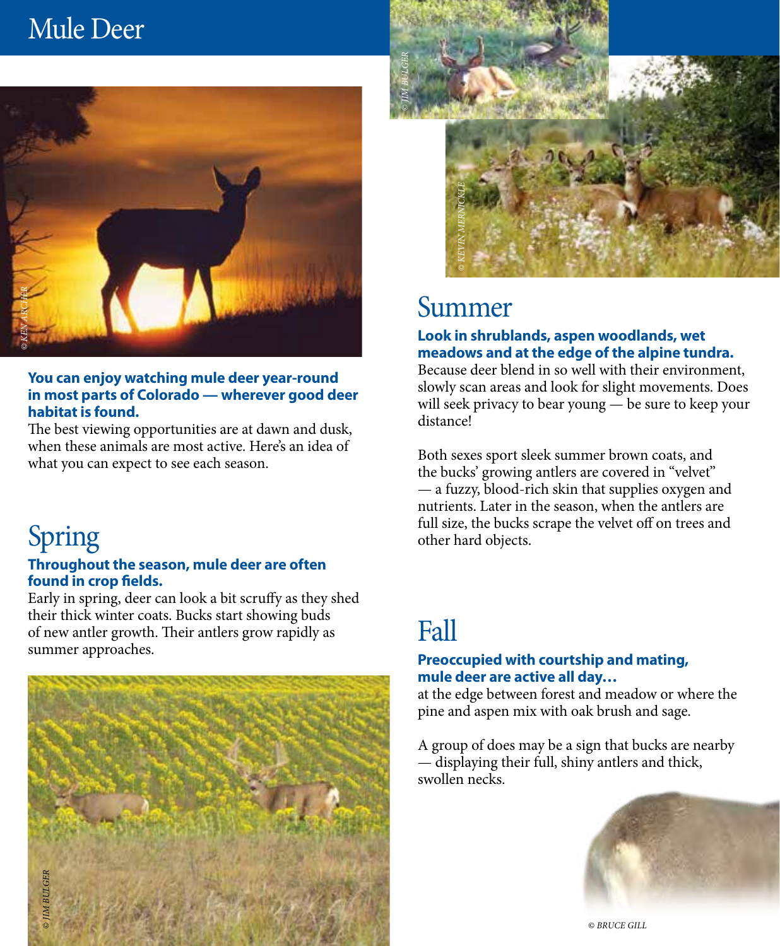## Mule Deer



#### **You can enjoy watching mule deer year-round in most parts of Colorado — wherever good deer habitat is found.**

The best viewing opportunities are at dawn and dusk, when these animals are most active. Here's an idea of what you can expect to see each season.

# Spring

#### **Throughout the season, mule deer are often found in crop fields.**

Early in spring, deer can look a bit scruffy as they shed their thick winter coats. Bucks start showing buds of new antler growth. Their antlers grow rapidly as summer approaches.





### Summer

#### **Look in shrublands, aspen woodlands, wet meadows and at the edge of the alpine tundra.**

Because deer blend in so well with their environment, slowly scan areas and look for slight movements. Does will seek privacy to bear young — be sure to keep your distance!

Both sexes sport sleek summer brown coats, and the bucks' growing antlers are covered in "velvet" — a fuzzy, blood-rich skin that supplies oxygen and nutrients. Later in the season, when the antlers are full size, the bucks scrape the velvet off on trees and other hard objects.

### Fall

#### **Preoccupied with courtship and mating, mule deer are active all day…**

at the edge between forest and meadow or where the pine and aspen mix with oak brush and sage.

A group of does may be a sign that bucks are nearby — displaying their full, shiny antlers and thick, swollen necks.



*© BRUCE GILL*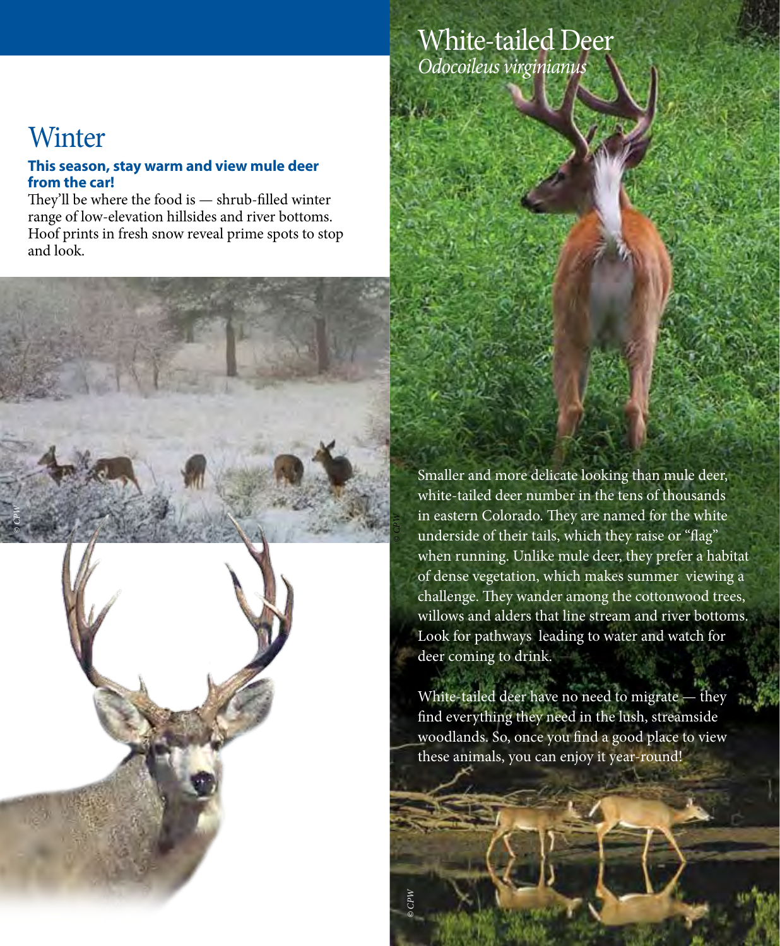### White-tailed Deer *Odocoileus virginianus*

## **Winter**

*© CPW*

#### **This season, stay warm and view mule deer from the car!**

They'll be where the food is — shrub-filled winter range of low-elevation hillsides and river bottoms. Hoof prints in fresh snow reveal prime spots to stop and look.

> Smaller and more delicate looking than mule deer, white-tailed deer number in the tens of thousands in eastern Colorado. They are named for the white underside of their tails, which they raise or "flag" when running. Unlike mule deer, they prefer a habitat of dense vegetation, which makes summer viewing a challenge. They wander among the cottonwood trees, willows and alders that line stream and river bottoms. Look for pathways leading to water and watch for deer coming to drink.

*© CPW*

White-tailed deer have no need to migrate — they find everything they need in the lush, streamside woodlands. So, once you find a good place to view these animals, you can enjoy it year-round!

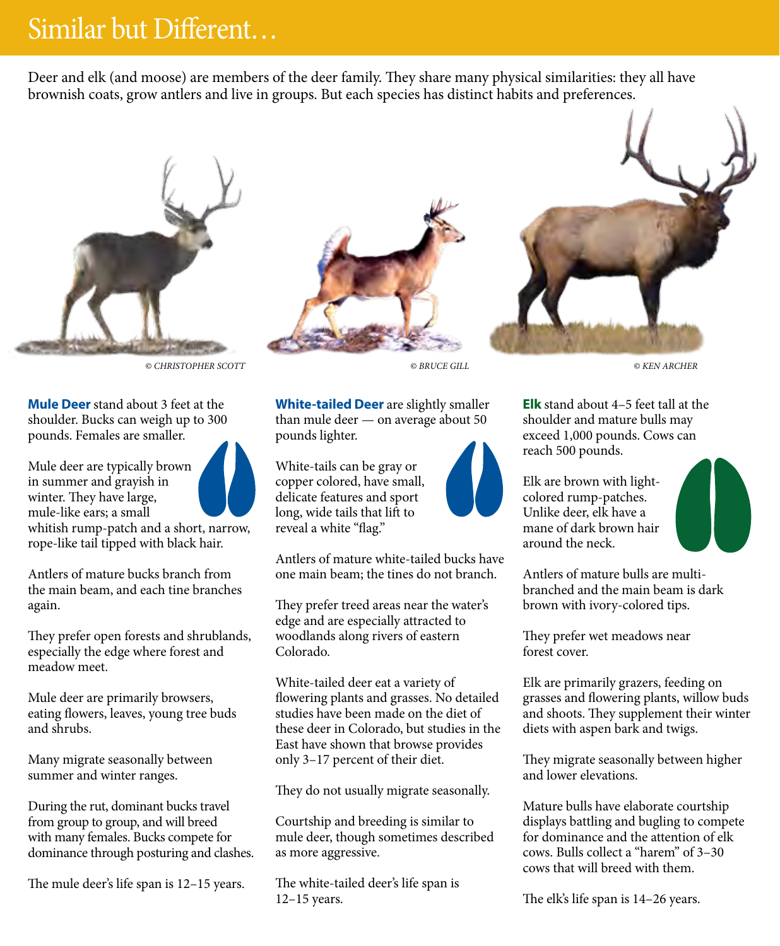## Similar but Different…

Deer and elk (and moose) are members of the deer family. They share many physical similarities: they all have brownish coats, grow antlers and live in groups. But each species has distinct habits and preferences.



*© CHRISTOPHER SCOTT © BRUCE GILL © KEN ARCHER*

**Mule Deer** stand about 3 feet at the shoulder. Bucks can weigh up to 300 pounds. Females are smaller.

Mule deer are typically brown in summer and grayish in winter. They have large, mule-like ears; a small whitish rump-patch and a short, narrow,

rope-like tail tipped with black hair.

Antlers of mature bucks branch from the main beam, and each tine branches again.

They prefer open forests and shrublands, especially the edge where forest and meadow meet.

Mule deer are primarily browsers, eating flowers, leaves, young tree buds and shrubs.

Many migrate seasonally between summer and winter ranges.

During the rut, dominant bucks travel from group to group, and will breed with many females. Bucks compete for dominance through posturing and clashes.

The mule deer's life span is 12–15 years.



**White-tailed Deer** are slightly smaller than mule deer — on average about 50 pounds lighter.

White-tails can be gray or copper colored, have small, delicate features and sport long, wide tails that lift to reveal a white "flag."

Antlers of mature white-tailed bucks have one main beam; the tines do not branch.

They prefer treed areas near the water's edge and are especially attracted to woodlands along rivers of eastern Colorado.

White-tailed deer eat a variety of flowering plants and grasses. No detailed studies have been made on the diet of these deer in Colorado, but studies in the East have shown that browse provides only 3–17 percent of their diet.

They do not usually migrate seasonally.

Courtship and breeding is similar to mule deer, though sometimes described as more aggressive.

The white-tailed deer's life span is 12–15 years.



**Elk** stand about 4–5 feet tall at the shoulder and mature bulls may exceed 1,000 pounds. Cows can reach 500 pounds.

Elk are brown with lightcolored rump-patches. Unlike deer, elk have a mane of dark brown hair around the neck.

Antlers of mature bulls are multibranched and the main beam is dark brown with ivory-colored tips.

They prefer wet meadows near forest cover.

Elk are primarily grazers, feeding on grasses and flowering plants, willow buds and shoots. They supplement their winter diets with aspen bark and twigs.

They migrate seasonally between higher and lower elevations.

Mature bulls have elaborate courtship displays battling and bugling to compete for dominance and the attention of elk cows. Bulls collect a "harem" of 3–30 cows that will breed with them.

The elk's life span is 14–26 years.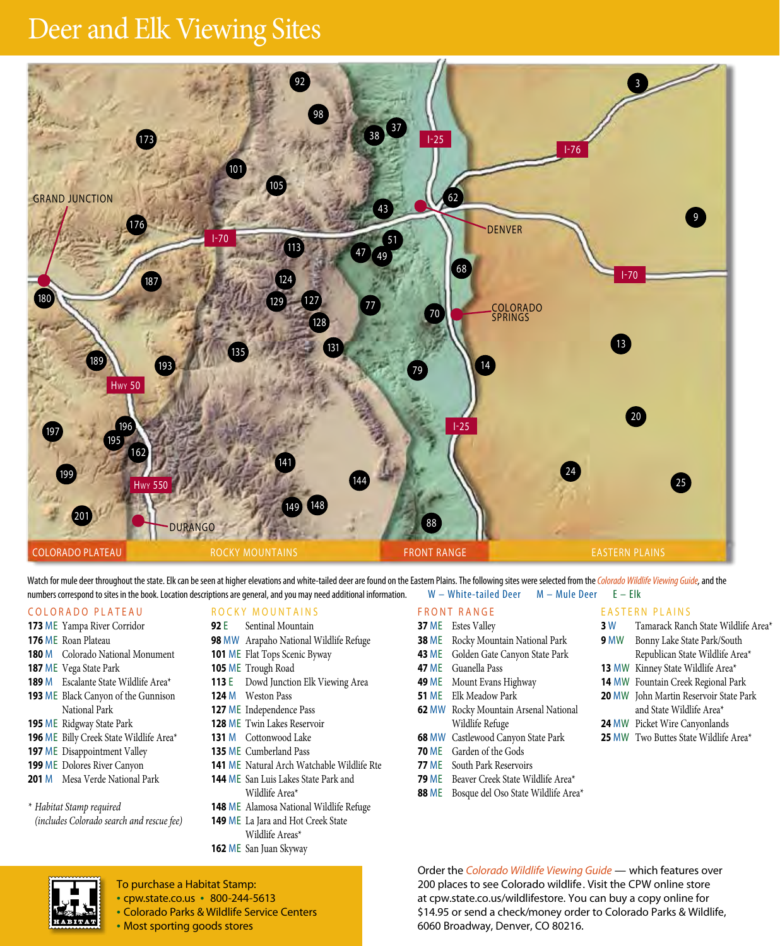# Deer and Elk Viewing Sites



Watch for mule deer throughout the state. Elk can be seen at higher elevations and white-tailed deer are found on the Eastern Plains. The following sites were selected from the *Colorado Wildlife Viewing Guide*, and the<br>nu numbers correspond to sites in the book. Location descriptions are general, and you may need additional information.

#### COLORADO PLATEAU

- ME Yampa River Corridor
- ME Roan Plateau
- M Colorado National Monument
- ME Vega State Park
- M Escalante State Wildlife Area\* ME Black Canyon of the Gunnison National Park
- ME Ridgway State Park
- ME Billy Creek State Wildlife Area\*
- ME Disappointment Valley
- ME Dolores River Canyon
- M Mesa Verde National Park

*\* Habitat Stamp required (includes Colorado search and rescue fee)*

#### ROCKY MOUNTAINS

- E Sentinal Mountain
- MW Arapaho National Wildlife Refuge
- ME Flat Tops Scenic Byway
- ME Trough Road
- E Dowd Junction Elk Viewing Area
- M Weston Pass
- ME Independence Pass
- ME Twin Lakes Reservoir
- M Cottonwood Lake
- ME Cumberland Pass
- ME Natural Arch Watchable Wildlife Rte
- ME San Luis Lakes State Park and Wildlife Area\*
- ME Alamosa National Wildlife Refuge ME La Jara and Hot Creek State
- Wildlife Areas\*
- ME San Juan Skyway

To purchase a Habitat Stamp: • cpw.state.co.us • 800-244-5613 • Colorado Parks & Wildlife Service Centers

• Most sporting goods stores

#### FRONT RANGE

- ME Estes Valley
- **38 ME** Rocky Mountain National Park
- ME Golden Gate Canyon State Park ME Guanella Pass
- 
- ME Mount Evans Highway ME Elk Meadow Park
- MW Rocky Mountain Arsenal National
- Wildlife Refuge MW Castlewood Canyon State Park
- ME Garden of the Gods
- ME South Park Reservoirs
- ME Beaver Creek State Wildlife Area\*
- ME Bosque del Oso State Wildlife Area\*

 W Tamarack Ranch State Wildlife Area\* MW Bonny Lake State Park/South

EASTERN PLAINS

- Republican State Wildlife Area\*
- MW Kinney State Wildlife Area\*
- MW Fountain Creek Regional Park
- MW John Martin Reservoir State Park and State Wildlife Area\*
- MW Picket Wire Canyonlands
- MW Two Buttes State Wildlife Area\*

Order the *Colorado Wildlife Viewing Guide* — which features over 200 places to see Colorado wildlife. Visit the CPW online store at cpw.state.co.us/wildlifestore. You can buy a copy online for \$14.95 or send a check/money order to Colorado Parks & Wildlife, 6060 Broadway, Denver, CO 80216.

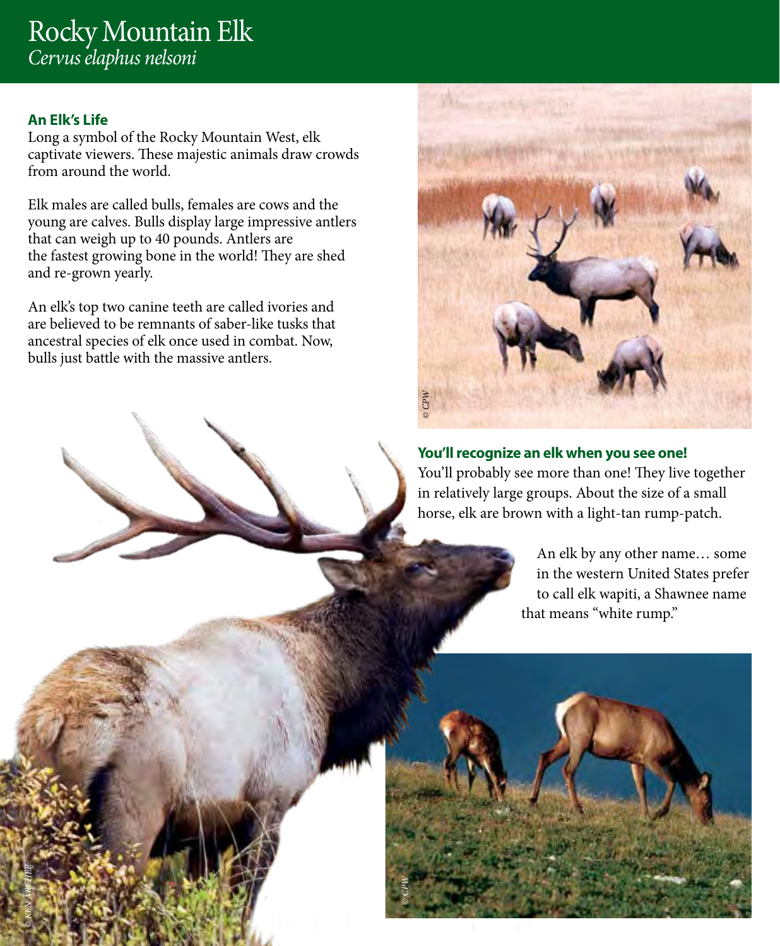### Rocky Mountain Elk *Cervus elaphus nelsoni*

#### **An Elk's Life**

*© KEN ARCHER*

Long a symbol of the Rocky Mountain West, elk captivate viewers. These majestic animals draw crowds from around the world.

Elk males are called bulls, females are cows and the young are calves. Bulls display large impressive antlers that can weigh up to 40 pounds. Antlers are the fastest growing bone in the world! They are shed and re-grown yearly.

An elk's top two canine teeth are called ivories and are believed to be remnants of saber-like tusks that ancestral species of elk once used in combat. Now, bulls just battle with the massive antlers.



#### **You'll recognize an elk when you see one!**

You'll probably see more than one! They live together in relatively large groups. About the size of a small horse, elk are brown with a light-tan rump-patch.

> An elk by any other name… some in the western United States prefer to call elk wapiti, a Shawnee name that means "white rump."

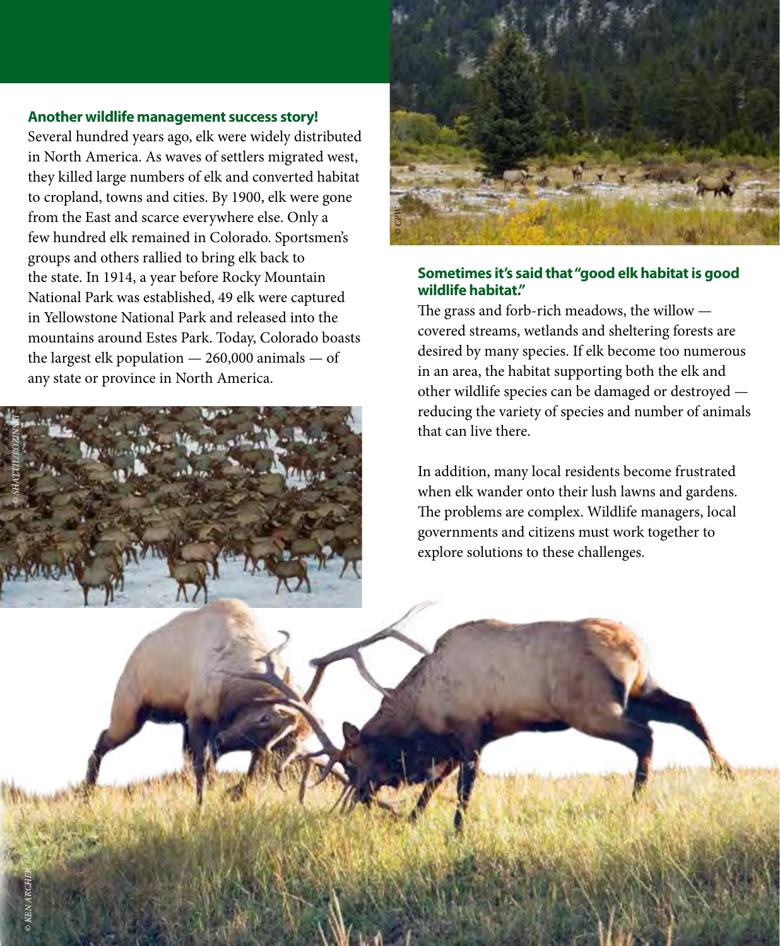#### **Another wildlife management success story!**

Several hundred years ago, elk were widely distributed in North America. As waves of settlers migrated west, they killed large numbers of elk and converted habitat to cropland, towns and cities. By 1900, elk were gone from the East and scarce everywhere else. Only a few hundred elk remained in Colorado. Sportsmen's groups and others rallied to bring elk back to the state. In 1914, a year before Rocky Mountain National Park was established, 49 elk were captured in Yellowstone National Park and released into the mountains around Estes Park. Today, Colorado boasts the largest elk population  $-260,000$  animals  $-$  of any state or province in North America.



*© KEN ARCHER*



#### **Sometimes it's said that "good elk habitat is good wildlife habitat."**

The grass and forb-rich meadows, the willow covered streams, wetlands and sheltering forests are desired by many species. If elk become too numerous in an area, the habitat supporting both the elk and other wildlife species can be damaged or destroyed reducing the variety of species and number of animals that can live there.

In addition, many local residents become frustrated when elk wander onto their lush lawns and gardens. The problems are complex. Wildlife managers, local governments and citizens must work together to explore solutions to these challenges.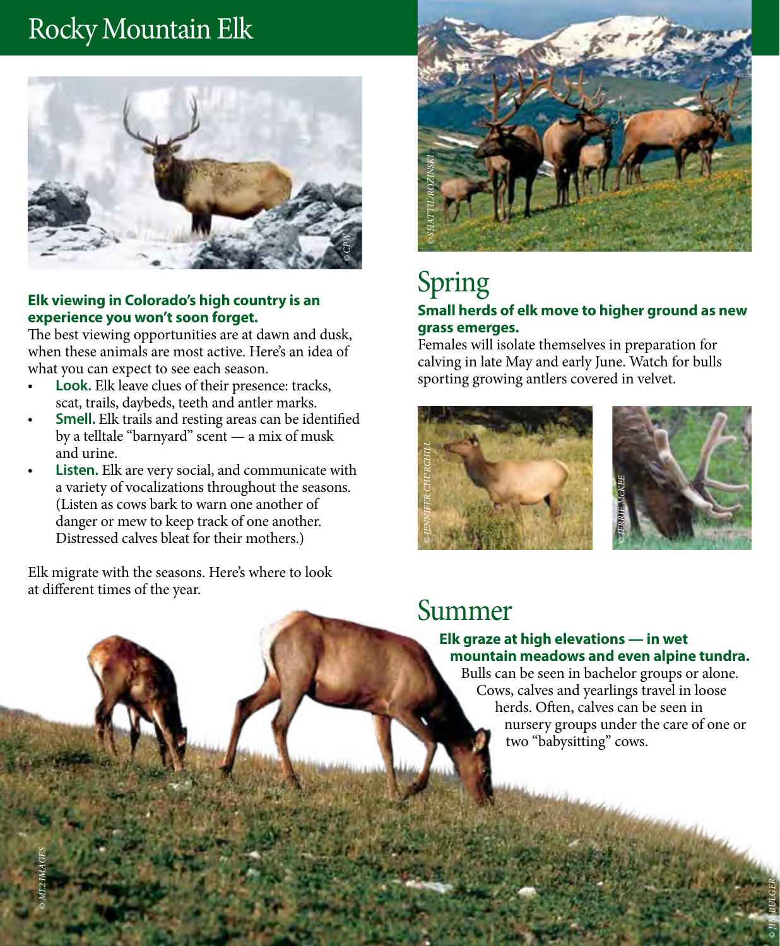# Rocky Mountain Elk



#### **Elk viewing in Colorado's high country is an experience you won't soon forget.**

The best viewing opportunities are at dawn and dusk, when these animals are most active. Here's an idea of what you can expect to see each season.

- **• Look.** Elk leave clues of their presence: tracks, scat, trails, daybeds, teeth and antler marks.
- **• Smell.** Elk trails and resting areas can be identified by a telltale "barnyard" scent — a mix of musk and urine.
- **• Listen.** Elk are very social, and communicate with a variety of vocalizations throughout the seasons. (Listen as cows bark to warn one another of danger or mew to keep track of one another. Distressed calves bleat for their mothers.)

Elk migrate with the seasons. Here's where to look at different times of the year.

*© ML2 IMAGES*



# Spring

#### **Small herds of elk move to higher ground as new grass emerges.**

Females will isolate themselves in preparation for calving in late May and early June. Watch for bulls sporting growing antlers covered in velvet.





*© JIM BULGER*

### Summer

#### **Elk graze at high elevations — in wet mountain meadows and even alpine tundra.**

Bulls can be seen in bachelor groups or alone. Cows, calves and yearlings travel in loose herds. Often, calves can be seen in nursery groups under the care of one or two "babysitting" cows.